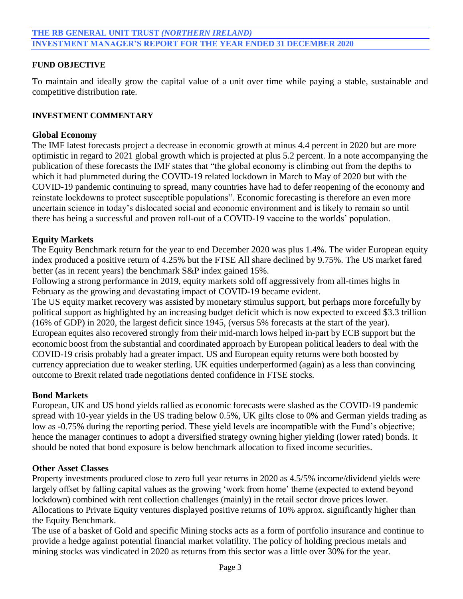## **FUND OBJECTIVE**

To maintain and ideally grow the capital value of a unit over time while paying a stable, sustainable and competitive distribution rate.

### **INVESTMENT COMMENTARY**

## **Global Economy**

The IMF latest forecasts project a decrease in economic growth at minus 4.4 percent in 2020 but are more optimistic in regard to 2021 global growth which is projected at plus 5.2 percent. In a note accompanying the publication of these forecasts the IMF states that "the global economy is climbing out from the depths to which it had plummeted during the COVID-19 related lockdown in March to May of 2020 but with the COVID-19 pandemic continuing to spread, many countries have had to defer reopening of the economy and reinstate lockdowns to protect susceptible populations". Economic forecasting is therefore an even more uncertain science in today's dislocated social and economic environment and is likely to remain so until there has being a successful and proven roll-out of a COVID-19 vaccine to the worlds' population.

## **Equity Markets**

The Equity Benchmark return for the year to end December 2020 was plus 1.4%. The wider European equity index produced a positive return of 4.25% but the FTSE All share declined by 9.75%. The US market fared better (as in recent years) the benchmark S&P index gained 15%.

Following a strong performance in 2019, equity markets sold off aggressively from all-times highs in February as the growing and devastating impact of COVID-19 became evident.

The US equity market recovery was assisted by monetary stimulus support, but perhaps more forcefully by political support as highlighted by an increasing budget deficit which is now expected to exceed \$3.3 trillion (16% of GDP) in 2020, the largest deficit since 1945, (versus 5% forecasts at the start of the year). European equites also recovered strongly from their mid-march lows helped in-part by ECB support but the economic boost from the substantial and coordinated approach by European political leaders to deal with the COVID-19 crisis probably had a greater impact. US and European equity returns were both boosted by currency appreciation due to weaker sterling. UK equities underperformed (again) as a less than convincing outcome to Brexit related trade negotiations dented confidence in FTSE stocks.

## **Bond Markets**

European, UK and US bond yields rallied as economic forecasts were slashed as the COVID-19 pandemic spread with 10-year yields in the US trading below 0.5%, UK gilts close to 0% and German yields trading as low as -0.75% during the reporting period. These yield levels are incompatible with the Fund's objective; hence the manager continues to adopt a diversified strategy owning higher yielding (lower rated) bonds. It should be noted that bond exposure is below benchmark allocation to fixed income securities.

## **Other Asset Classes**

Property investments produced close to zero full year returns in 2020 as 4.5/5% income/dividend yields were largely offset by falling capital values as the growing 'work from home' theme (expected to extend beyond lockdown) combined with rent collection challenges (mainly) in the retail sector drove prices lower. Allocations to Private Equity ventures displayed positive returns of 10% approx. significantly higher than the Equity Benchmark.

The use of a basket of Gold and specific Mining stocks acts as a form of portfolio insurance and continue to provide a hedge against potential financial market volatility. The policy of holding precious metals and mining stocks was vindicated in 2020 as returns from this sector was a little over 30% for the year.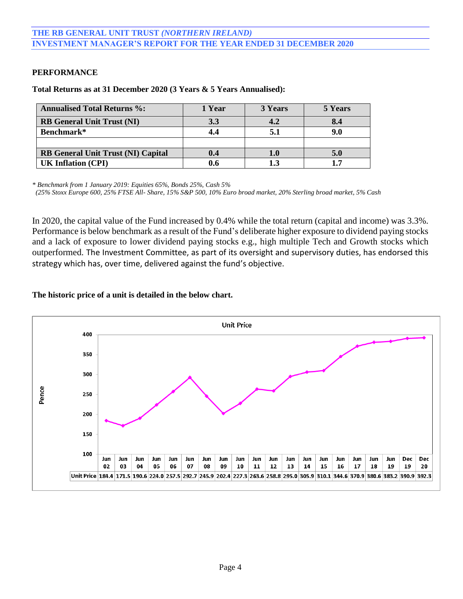## **PERFORMANCE**

| <b>Annualised Total Returns %:</b>        | 1 Year | 3 Years | 5 Years |
|-------------------------------------------|--------|---------|---------|
| <b>RB</b> General Unit Trust (NI)         | 3.3    |         |         |
| Benchmark*                                |        |         |         |
|                                           |        |         |         |
| <b>RB General Unit Trust (NI) Capital</b> | 0.4    | 1.0     | 5.0     |
| <b>UK Inflation (CPI)</b>                 |        |         |         |

*\* Benchmark from 1 January 2019: Equities 65%, Bonds 25%, Cash 5%*

 *(25% Stoxx Europe 600, 25% FTSE All- Share, 15% S&P 500, 10% Euro broad market, 20% Sterling broad market, 5% Cash*

In 2020, the capital value of the Fund increased by 0.4% while the total return (capital and income) was 3.3%. Performance is below benchmark as a result of the Fund's deliberate higher exposure to dividend paying stocks and a lack of exposure to lower dividend paying stocks e.g., high multiple Tech and Growth stocks which outperformed. The Investment Committee, as part of its oversight and supervisory duties, has endorsed this strategy which has, over time, delivered against the fund's objective.

### **The historic price of a unit is detailed in the below chart.**

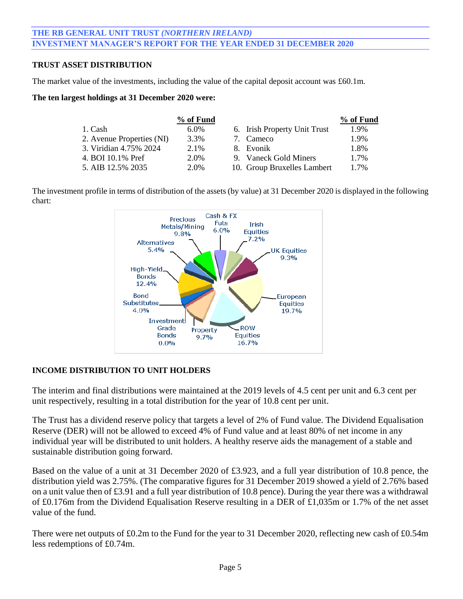# **THE RB GENERAL UNIT TRUST** *(NORTHERN IRELAND)* **INVESTMENT MANAGER'S REPORT FOR THE YEAR ENDED 31 DECEMBER 2020**

## **TRUST ASSET DISTRIBUTION**

The market value of the investments, including the value of the capital deposit account was £60.1m.

#### **The ten largest holdings at 31 December 2020 were:**

|                           | % of Fund |                              | % of Fund |
|---------------------------|-----------|------------------------------|-----------|
| 1. Cash                   | $6.0\%$   | 6. Irish Property Unit Trust | 1.9%      |
| 2. Avenue Properties (NI) | 3.3%      | 7. Cameco                    | 1.9%      |
| 3. Viridian 4.75% 2024    | 2.1%      | 8. Evonik                    | 1.8%      |
| 4. BOI 10.1% Pref         | 2.0%      | 9. Vaneck Gold Miners        | 1.7%      |
| 5. AIB 12.5% 2035         | 2.0%      | 10. Group Bruxelles Lambert  | 1.7%      |

The investment profile in terms of distribution of the assets (by value) at 31 December 2020 is displayed in the following chart:



#### **INCOME DISTRIBUTION TO UNIT HOLDERS**

The interim and final distributions were maintained at the 2019 levels of 4.5 cent per unit and 6.3 cent per unit respectively, resulting in a total distribution for the year of 10.8 cent per unit.

The Trust has a dividend reserve policy that targets a level of 2% of Fund value. The Dividend Equalisation Reserve (DER) will not be allowed to exceed 4% of Fund value and at least 80% of net income in any individual year will be distributed to unit holders. A healthy reserve aids the management of a stable and sustainable distribution going forward.

Based on the value of a unit at 31 December 2020 of £3.923, and a full year distribution of 10.8 pence, the distribution yield was 2.75%. (The comparative figures for 31 December 2019 showed a yield of 2.76% based on a unit value then of £3.91 and a full year distribution of 10.8 pence). During the year there was a withdrawal of £0.176m from the Dividend Equalisation Reserve resulting in a DER of £1,035m or 1.7% of the net asset value of the fund.

There were net outputs of £0.2m to the Fund for the year to 31 December 2020, reflecting new cash of £0.54m less redemptions of £0.74m.